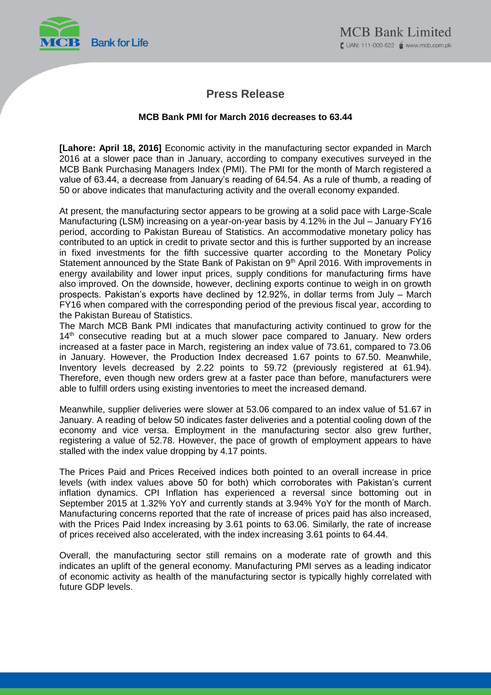

## **Press Release**

## **MCB Bank PMI for March 2016 decreases to 63.44**

**[Lahore: April 18, 2016]** Economic activity in the manufacturing sector expanded in March 2016 at a slower pace than in January, according to company executives surveyed in the MCB Bank Purchasing Managers Index (PMI). The PMI for the month of March registered a value of 63.44, a decrease from January's reading of 64.54. As a rule of thumb, a reading of 50 or above indicates that manufacturing activity and the overall economy expanded.

At present, the manufacturing sector appears to be growing at a solid pace with Large-Scale Manufacturing (LSM) increasing on a year-on-year basis by 4.12% in the Jul – January FY16 period, according to Pakistan Bureau of Statistics. An accommodative monetary policy has contributed to an uptick in credit to private sector and this is further supported by an increase in fixed investments for the fifth successive quarter according to the Monetary Policy Statement announced by the State Bank of Pakistan on 9<sup>th</sup> April 2016. With improvements in energy availability and lower input prices, supply conditions for manufacturing firms have also improved. On the downside, however, declining exports continue to weigh in on growth prospects. Pakistan's exports have declined by 12.92%, in dollar terms from July – March FY16 when compared with the corresponding period of the previous fiscal year, according to the Pakistan Bureau of Statistics.

The March MCB Bank PMI indicates that manufacturing activity continued to grow for the 14<sup>th</sup> consecutive reading but at a much slower pace compared to January. New orders increased at a faster pace in March, registering an index value of 73.61, compared to 73.06 in January. However, the Production Index decreased 1.67 points to 67.50. Meanwhile, Inventory levels decreased by 2.22 points to 59.72 (previously registered at 61.94). Therefore, even though new orders grew at a faster pace than before, manufacturers were able to fulfill orders using existing inventories to meet the increased demand.

Meanwhile, supplier deliveries were slower at 53.06 compared to an index value of 51.67 in January. A reading of below 50 indicates faster deliveries and a potential cooling down of the economy and vice versa. Employment in the manufacturing sector also grew further, registering a value of 52.78. However, the pace of growth of employment appears to have stalled with the index value dropping by 4.17 points.

The Prices Paid and Prices Received indices both pointed to an overall increase in price levels (with index values above 50 for both) which corroborates with Pakistan's current inflation dynamics. CPI Inflation has experienced a reversal since bottoming out in September 2015 at 1.32% YoY and currently stands at 3.94% YoY for the month of March. Manufacturing concerns reported that the rate of increase of prices paid has also increased, with the Prices Paid Index increasing by 3.61 points to 63.06. Similarly, the rate of increase of prices received also accelerated, with the index increasing 3.61 points to 64.44.

Overall, the manufacturing sector still remains on a moderate rate of growth and this indicates an uplift of the general economy. Manufacturing PMI serves as a leading indicator of economic activity as health of the manufacturing sector is typically highly correlated with future GDP levels.